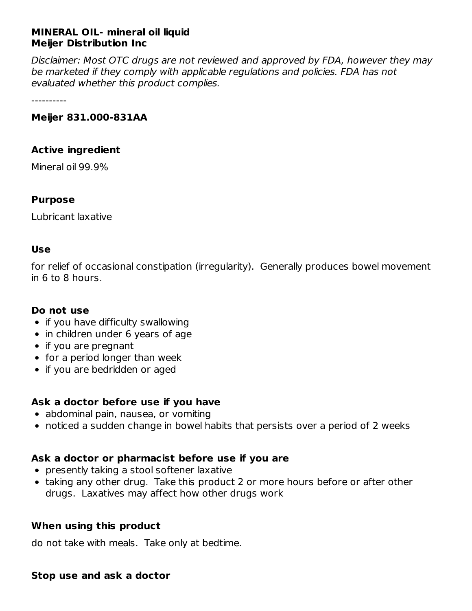#### **MINERAL OIL- mineral oil liquid Meijer Distribution Inc**

Disclaimer: Most OTC drugs are not reviewed and approved by FDA, however they may be marketed if they comply with applicable regulations and policies. FDA has not evaluated whether this product complies.

----------

#### **Meijer 831.000-831AA**

#### **Active ingredient**

Mineral oil 99.9%

#### **Purpose**

Lubricant laxative

#### **Use**

for relief of occasional constipation (irregularity). Generally produces bowel movement in 6 to 8 hours.

#### **Do not use**

- $\bullet$  if you have difficulty swallowing
- in children under 6 years of age
- if you are pregnant
- for a period longer than week
- if you are bedridden or aged

## **Ask a doctor before use if you have**

- abdominal pain, nausea, or vomiting
- noticed a sudden change in bowel habits that persists over a period of 2 weeks

## **Ask a doctor or pharmacist before use if you are**

- presently taking a stool softener laxative
- taking any other drug. Take this product 2 or more hours before or after other drugs. Laxatives may affect how other drugs work

#### **When using this product**

do not take with meals. Take only at bedtime.

#### **Stop use and ask a doctor**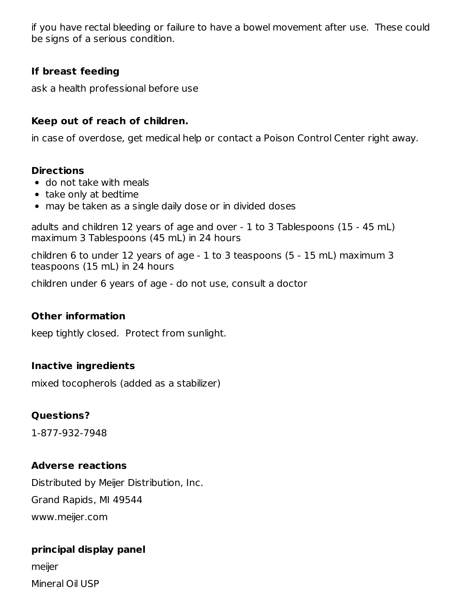if you have rectal bleeding or failure to have a bowel movement after use. These could be signs of a serious condition.

## **If breast feeding**

ask a health professional before use

# **Keep out of reach of children.**

in case of overdose, get medical help or contact a Poison Control Center right away.

#### **Directions**

- do not take with meals
- take only at bedtime
- may be taken as a single daily dose or in divided doses

adults and children 12 years of age and over - 1 to 3 Tablespoons (15 - 45 mL) maximum 3 Tablespoons (45 mL) in 24 hours

children 6 to under 12 years of age - 1 to 3 teaspoons (5 - 15 mL) maximum 3 teaspoons (15 mL) in 24 hours

children under 6 years of age - do not use, consult a doctor

## **Other information**

keep tightly closed. Protect from sunlight.

## **Inactive ingredients**

mixed tocopherols (added as a stabilizer)

## **Questions?**

1-877-932-7948

## **Adverse reactions**

Distributed by Meijer Distribution, Inc. Grand Rapids, MI 49544 www.meijer.com

## **principal display panel**

meijer Mineral Oil USP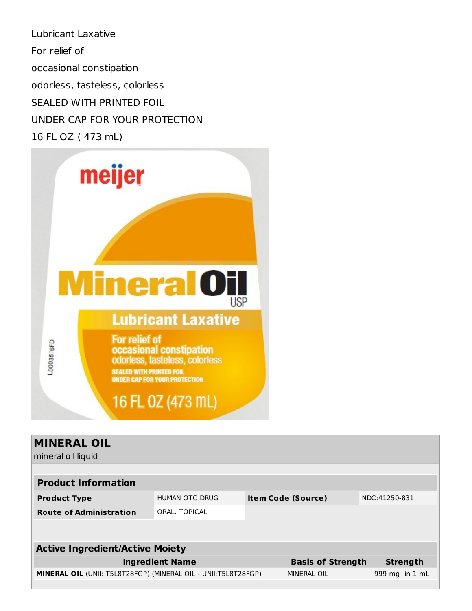Lubricant Laxative For relief of occasional constipation odorless, tasteless, colorless SEALED WITH PRINTED FOIL UNDER CAP FOR YOUR PROTECTION 16 FL OZ ( 473 mL)



| <b>MINERAL OIL</b><br>mineral oil liquid                              |                          |                           |                    |               |                |
|-----------------------------------------------------------------------|--------------------------|---------------------------|--------------------|---------------|----------------|
| <b>Product Information</b>                                            |                          |                           |                    |               |                |
| <b>Product Type</b>                                                   | HUMAN OTC DRUG           | <b>Item Code (Source)</b> |                    | NDC:41250-831 |                |
| <b>Route of Administration</b>                                        | ORAL, TOPICAL            |                           |                    |               |                |
|                                                                       |                          |                           |                    |               |                |
| <b>Active Ingredient/Active Moiety</b>                                |                          |                           |                    |               |                |
| <b>Ingredient Name</b>                                                | <b>Basis of Strength</b> |                           | <b>Strength</b>    |               |                |
| <b>MINERAL OIL (UNII: T5L8T28FGP) (MINERAL OIL - UNII:T5L8T28FGP)</b> |                          |                           | <b>MINERAL OIL</b> |               | 999 mg in 1 mL |